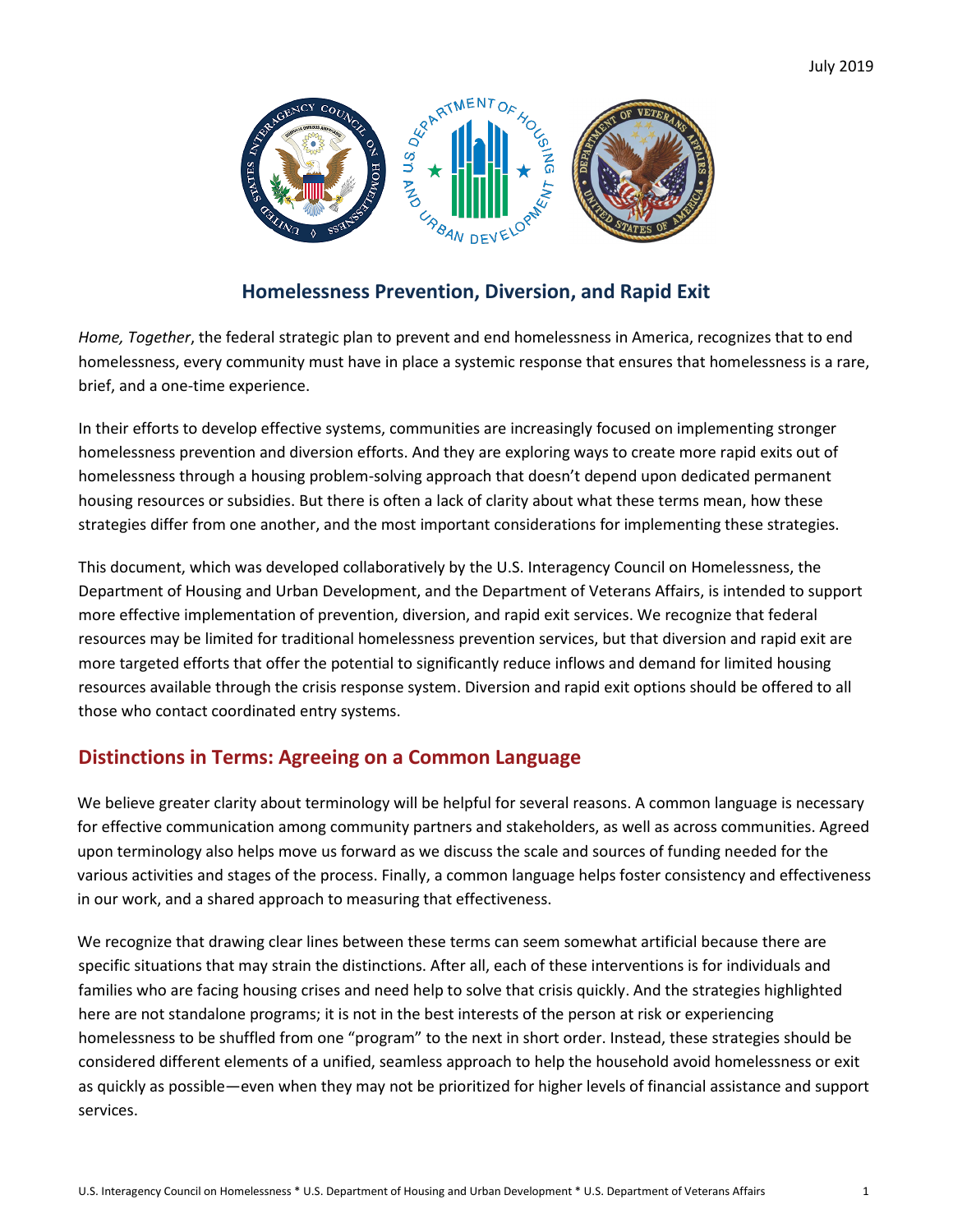

# **Homelessness Prevention, Diversion, and Rapid Exit**

*Home, Together*, the federal strategic plan to prevent and end homelessness in America, recognizes that to end homelessness, every community must have in place a systemic response that ensures that homelessness is a rare, brief, and a one-time experience.

In their efforts to develop effective systems, communities are increasingly focused on implementing stronger homelessness prevention and diversion efforts. And they are exploring ways to create more rapid exits out of homelessness through a housing problem-solving approach that doesn't depend upon dedicated permanent housing resources or subsidies. But there is often a lack of clarity about what these terms mean, how these strategies differ from one another, and the most important considerations for implementing these strategies.

This document, which was developed collaboratively by the U.S. Interagency Council on Homelessness, the Department of Housing and Urban Development, and the Department of Veterans Affairs, is intended to support more effective implementation of prevention, diversion, and rapid exit services. We recognize that federal resources may be limited for traditional homelessness prevention services, but that diversion and rapid exit are more targeted efforts that offer the potential to significantly reduce inflows and demand for limited housing resources available through the crisis response system. Diversion and rapid exit options should be offered to all those who contact coordinated entry systems.

# **Distinctions in Terms: Agreeing on a Common Language**

We believe greater clarity about terminology will be helpful for several reasons. A common language is necessary for effective communication among community partners and stakeholders, as well as across communities. Agreed upon terminology also helps move us forward as we discuss the scale and sources of funding needed for the various activities and stages of the process. Finally, a common language helps foster consistency and effectiveness in our work, and a shared approach to measuring that effectiveness.

We recognize that drawing clear lines between these terms can seem somewhat artificial because there are specific situations that may strain the distinctions. After all, each of these interventions is for individuals and families who are facing housing crises and need help to solve that crisis quickly. And the strategies highlighted here are not standalone programs; it is not in the best interests of the person at risk or experiencing homelessness to be shuffled from one "program" to the next in short order. Instead, these strategies should be considered different elements of a unified, seamless approach to help the household avoid homelessness or exit as quickly as possible—even when they may not be prioritized for higher levels of financial assistance and support services.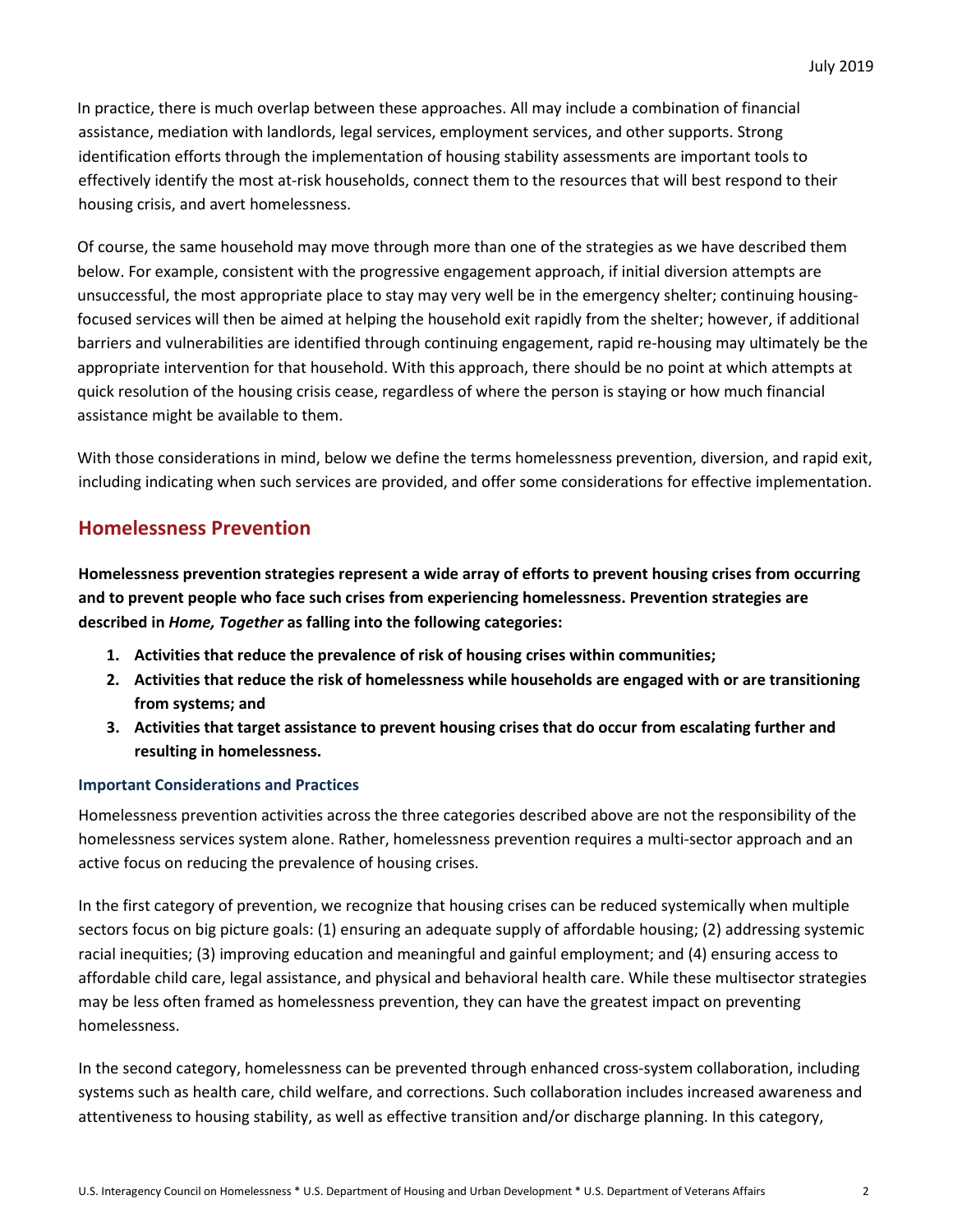In practice, there is much overlap between these approaches. All may include a combination of financial assistance, mediation with landlords, legal services, employment services, and other supports. Strong identification efforts through the implementation of housing stability assessments are important tools to effectively identify the most at-risk households, connect them to the resources that will best respond to their housing crisis, and avert homelessness.

Of course, the same household may move through more than one of the strategies as we have described them below. For example, consistent with the progressive engagement approach, if initial diversion attempts are unsuccessful, the most appropriate place to stay may very well be in the emergency shelter; continuing housingfocused services will then be aimed at helping the household exit rapidly from the shelter; however, if additional barriers and vulnerabilities are identified through continuing engagement, rapid re-housing may ultimately be the appropriate intervention for that household. With this approach, there should be no point at which attempts at quick resolution of the housing crisis cease, regardless of where the person is staying or how much financial assistance might be available to them.

With those considerations in mind, below we define the terms homelessness prevention, diversion, and rapid exit, including indicating when such services are provided, and offer some considerations for effective implementation.

# **Homelessness Prevention**

**Homelessness prevention strategies represent a wide array of efforts to prevent housing crises from occurring and to prevent people who face such crises from experiencing homelessness. Prevention strategies are described in** *Home, Together* **as falling into the following categories:** 

- **1. Activities that reduce the prevalence of risk of housing crises within communities;**
- **2. Activities that reduce the risk of homelessness while households are engaged with or are transitioning from systems; and**
- **3. Activities that target assistance to prevent housing crises that do occur from escalating further and resulting in homelessness.**

#### **Important Considerations and Practices**

Homelessness prevention activities across the three categories described above are not the responsibility of the homelessness services system alone. Rather, homelessness prevention requires a multi-sector approach and an active focus on reducing the prevalence of housing crises.

In the first category of prevention, we recognize that housing crises can be reduced systemically when multiple sectors focus on big picture goals: (1) ensuring an adequate supply of affordable housing; (2) addressing systemic racial inequities; (3) improving education and meaningful and gainful employment; and (4) ensuring access to affordable child care, legal assistance, and physical and behavioral health care. While these multisector strategies may be less often framed as homelessness prevention, they can have the greatest impact on preventing homelessness.

In the second category, homelessness can be prevented through enhanced cross-system collaboration, including systems such as health care, child welfare, and corrections. Such collaboration includes increased awareness and attentiveness to housing stability, as well as effective transition and/or discharge planning. In this category,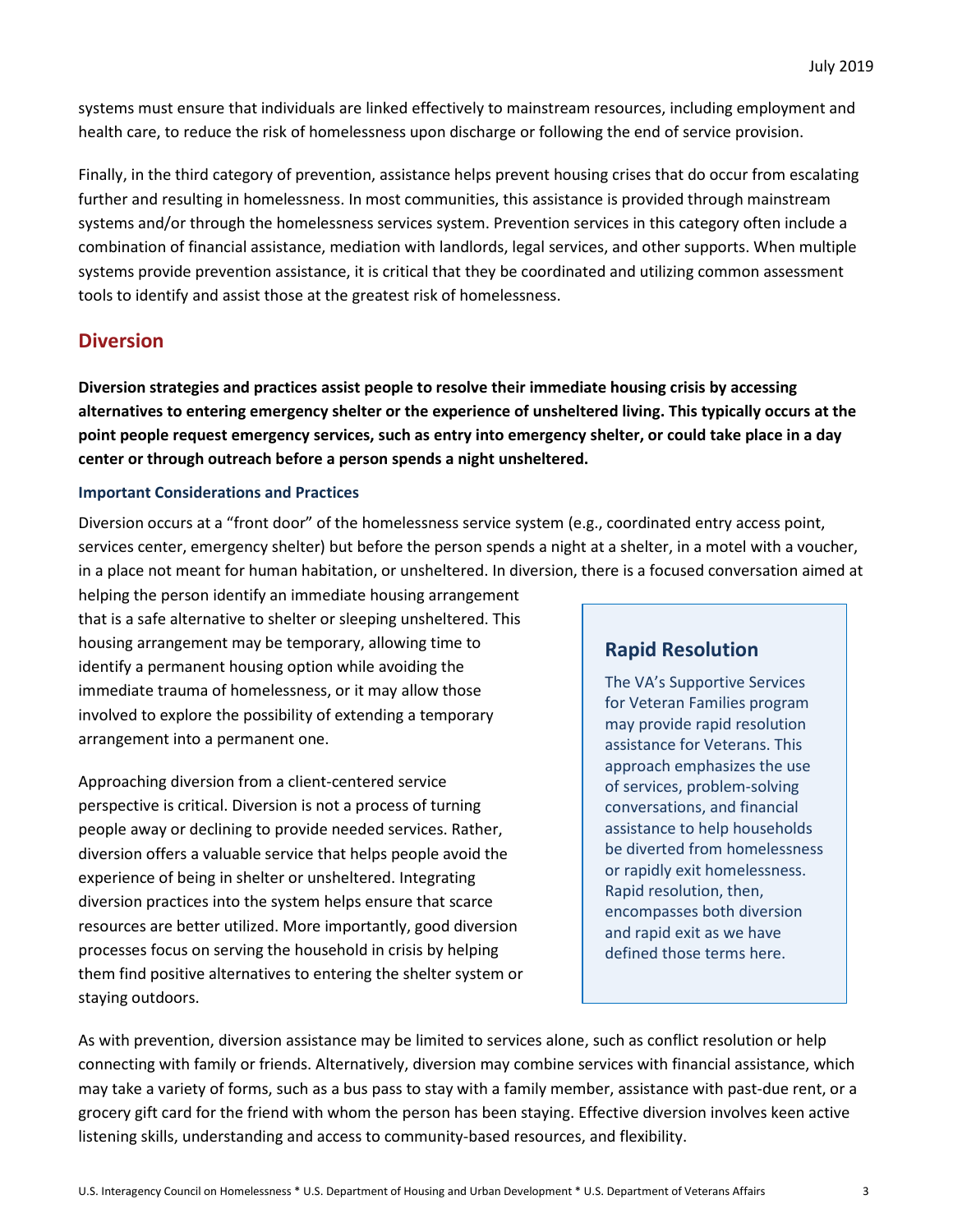systems must ensure that individuals are linked effectively to mainstream resources, including employment and health care, to reduce the risk of homelessness upon discharge or following the end of service provision.

Finally, in the third category of prevention, assistance helps prevent housing crises that do occur from escalating further and resulting in homelessness. In most communities, this assistance is provided through mainstream systems and/or through the homelessness services system. Prevention services in this category often include a combination of financial assistance, mediation with landlords, legal services, and other supports. When multiple systems provide prevention assistance, it is critical that they be coordinated and utilizing common assessment tools to identify and assist those at the greatest risk of homelessness.

### **Diversion**

**Diversion strategies and practices assist people to resolve their immediate housing crisis by accessing alternatives to entering emergency shelter or the experience of unsheltered living. This typically occurs at the point people request emergency services, such as entry into emergency shelter, or could take place in a day center or through outreach before a person spends a night unsheltered.** 

#### **Important Considerations and Practices**

Diversion occurs at a "front door" of the homelessness service system (e.g., coordinated entry access point, services center, emergency shelter) but before the person spends a night at a shelter, in a motel with a voucher, in a place not meant for human habitation, or unsheltered. In diversion, there is a focused conversation aimed at

helping the person identify an immediate housing arrangement that is a safe alternative to shelter or sleeping unsheltered. This housing arrangement may be temporary, allowing time to identify a permanent housing option while avoiding the immediate trauma of homelessness, or it may allow those involved to explore the possibility of extending a temporary arrangement into a permanent one.

Approaching diversion from a client-centered service perspective is critical. Diversion is not a process of turning people away or declining to provide needed services. Rather, diversion offers a valuable service that helps people avoid the experience of being in shelter or unsheltered. Integrating diversion practices into the system helps ensure that scarce resources are better utilized. More importantly, good diversion processes focus on serving the household in crisis by helping them find positive alternatives to entering the shelter system or staying outdoors.

### **Rapid Resolution**

The VA's Supportive Services for Veteran Families program may provide rapid resolution assistance for Veterans. This approach emphasizes the use of services, problem-solving conversations, and financial assistance to help households be diverted from homelessness or rapidly exit homelessness. Rapid resolution, then, encompasses both diversion and rapid exit as we have defined those terms here.

As with prevention, diversion assistance may be limited to services alone, such as conflict resolution or help connecting with family or friends. Alternatively, diversion may combine services with financial assistance, which may take a variety of forms, such as a bus pass to stay with a family member, assistance with past-due rent, or a grocery gift card for the friend with whom the person has been staying. Effective diversion involves keen active listening skills, understanding and access to community-based resources, and flexibility.